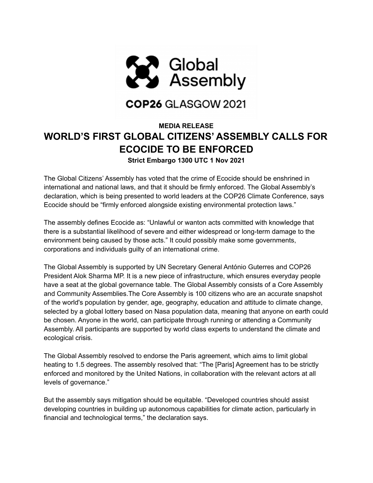

## COP26 GLASGOW 2021

## **MEDIA RELEASE WORLD'S FIRST GLOBAL CITIZENS' ASSEMBLY CALLS FOR ECOCIDE TO BE ENFORCED Strict Embargo 1300 UTC 1 Nov 2021**

The Global Citizens' Assembly has voted that the crime of Ecocide should be enshrined in international and national laws, and that it should be firmly enforced. The Global Assembly's declaration, which is being presented to world leaders at the COP26 Climate Conference, says Ecocide should be "firmly enforced alongside existing environmental protection laws."

The assembly defines Ecocide as: "Unlawful or wanton acts committed with knowledge that there is a substantial likelihood of severe and either widespread or long-term damage to the environment being caused by those acts." It could possibly make some governments, corporations and individuals guilty of an international crime.

The Global Assembly is supported by UN Secretary General António Guterres and COP26 President Alok Sharma MP. It is a new piece of infrastructure, which ensures everyday people have a seat at the global governance table. The Global Assembly consists of a Core Assembly and Community Assemblies.The Core Assembly is 100 citizens who are an accurate snapshot of the world's population by gender, age, geography, education and attitude to climate change, selected by a global lottery based on Nasa population data, meaning that anyone on earth could be chosen. Anyone in the world, can participate through running or attending a Community Assembly. All participants are supported by world class experts to understand the climate and ecological crisis.

The Global Assembly resolved to endorse the Paris agreement, which aims to limit global heating to 1.5 degrees. The assembly resolved that: "The [Paris] Agreement has to be strictly enforced and monitored by the United Nations, in collaboration with the relevant actors at all levels of governance."

But the assembly says mitigation should be equitable. "Developed countries should assist developing countries in building up autonomous capabilities for climate action, particularly in financial and technological terms," the declaration says.